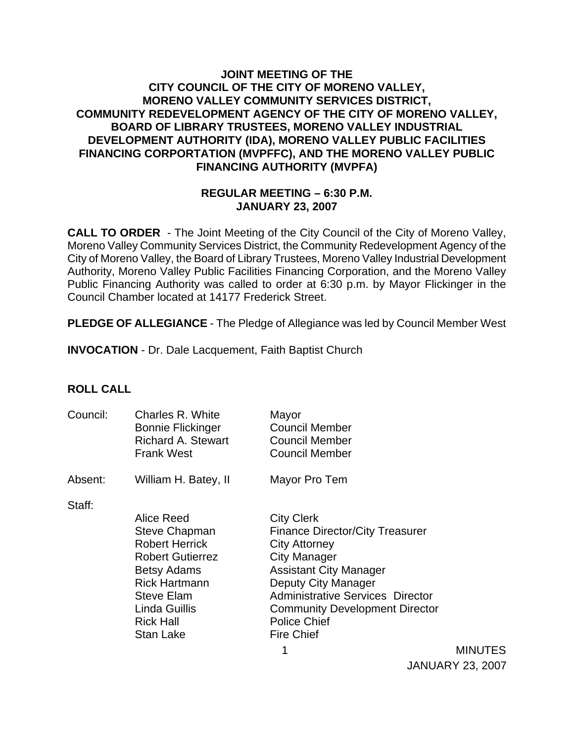### **JOINT MEETING OF THE CITY COUNCIL OF THE CITY OF MORENO VALLEY, MORENO VALLEY COMMUNITY SERVICES DISTRICT, COMMUNITY REDEVELOPMENT AGENCY OF THE CITY OF MORENO VALLEY, BOARD OF LIBRARY TRUSTEES, MORENO VALLEY INDUSTRIAL DEVELOPMENT AUTHORITY (IDA), MORENO VALLEY PUBLIC FACILITIES FINANCING CORPORTATION (MVPFFC), AND THE MORENO VALLEY PUBLIC FINANCING AUTHORITY (MVPFA)**

#### **REGULAR MEETING – 6:30 P.M. JANUARY 23, 2007**

**CALL TO ORDER** - The Joint Meeting of the City Council of the City of Moreno Valley, Moreno Valley Community Services District, the Community Redevelopment Agency of the City of Moreno Valley, the Board of Library Trustees, Moreno Valley Industrial Development Authority, Moreno Valley Public Facilities Financing Corporation, and the Moreno Valley Public Financing Authority was called to order at 6:30 p.m. by Mayor Flickinger in the Council Chamber located at 14177 Frederick Street.

**PLEDGE OF ALLEGIANCE** - The Pledge of Allegiance was led by Council Member West

**INVOCATION** - Dr. Dale Lacquement, Faith Baptist Church

### **ROLL CALL**

| Council: | Charles R. White<br><b>Bonnie Flickinger</b><br><b>Richard A. Stewart</b><br><b>Frank West</b>                                                                                                              | Mayor<br><b>Council Member</b><br><b>Council Member</b><br><b>Council Member</b>                                                                                                                                                                                                                   |
|----------|-------------------------------------------------------------------------------------------------------------------------------------------------------------------------------------------------------------|----------------------------------------------------------------------------------------------------------------------------------------------------------------------------------------------------------------------------------------------------------------------------------------------------|
| Absent:  | William H. Batey, II                                                                                                                                                                                        | Mayor Pro Tem                                                                                                                                                                                                                                                                                      |
| Staff:   | Alice Reed<br><b>Steve Chapman</b><br><b>Robert Herrick</b><br><b>Robert Gutierrez</b><br><b>Betsy Adams</b><br><b>Rick Hartmann</b><br><b>Steve Elam</b><br>Linda Guillis<br><b>Rick Hall</b><br>Stan Lake | <b>City Clerk</b><br><b>Finance Director/City Treasurer</b><br><b>City Attorney</b><br><b>City Manager</b><br><b>Assistant City Manager</b><br>Deputy City Manager<br><b>Administrative Services Director</b><br><b>Community Development Director</b><br><b>Police Chief</b><br><b>Fire Chief</b> |

 1 MINUTES JANUARY 23, 2007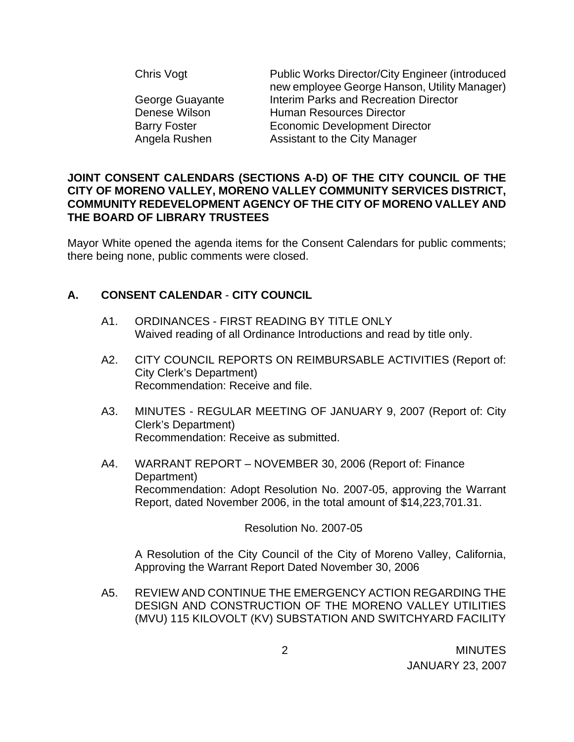| Chris Vogt          | <b>Public Works Director/City Engineer (introduced)</b><br>new employee George Hanson, Utility Manager) |
|---------------------|---------------------------------------------------------------------------------------------------------|
| George Guayante     | Interim Parks and Recreation Director                                                                   |
| Denese Wilson       | Human Resources Director                                                                                |
| <b>Barry Foster</b> | <b>Economic Development Director</b>                                                                    |
| Angela Rushen       | Assistant to the City Manager                                                                           |
|                     |                                                                                                         |

### **JOINT CONSENT CALENDARS (SECTIONS A-D) OF THE CITY COUNCIL OF THE CITY OF MORENO VALLEY, MORENO VALLEY COMMUNITY SERVICES DISTRICT, COMMUNITY REDEVELOPMENT AGENCY OF THE CITY OF MORENO VALLEY AND THE BOARD OF LIBRARY TRUSTEES**

Mayor White opened the agenda items for the Consent Calendars for public comments; there being none, public comments were closed.

# **A. CONSENT CALENDAR** - **CITY COUNCIL**

- A1. ORDINANCES FIRST READING BY TITLE ONLY Waived reading of all Ordinance Introductions and read by title only.
- A2. CITY COUNCIL REPORTS ON REIMBURSABLE ACTIVITIES (Report of: City Clerk's Department) Recommendation: Receive and file.
- A3. MINUTES REGULAR MEETING OF JANUARY 9, 2007 (Report of: City Clerk's Department) Recommendation: Receive as submitted.
- A4. WARRANT REPORT NOVEMBER 30, 2006 (Report of: Finance Department) Recommendation: Adopt Resolution No. 2007-05, approving the Warrant Report, dated November 2006, in the total amount of \$14,223,701.31.

Resolution No. 2007-05

 A Resolution of the City Council of the City of Moreno Valley, California, Approving the Warrant Report Dated November 30, 2006

A5. REVIEW AND CONTINUE THE EMERGENCY ACTION REGARDING THE DESIGN AND CONSTRUCTION OF THE MORENO VALLEY UTILITIES (MVU) 115 KILOVOLT (KV) SUBSTATION AND SWITCHYARD FACILITY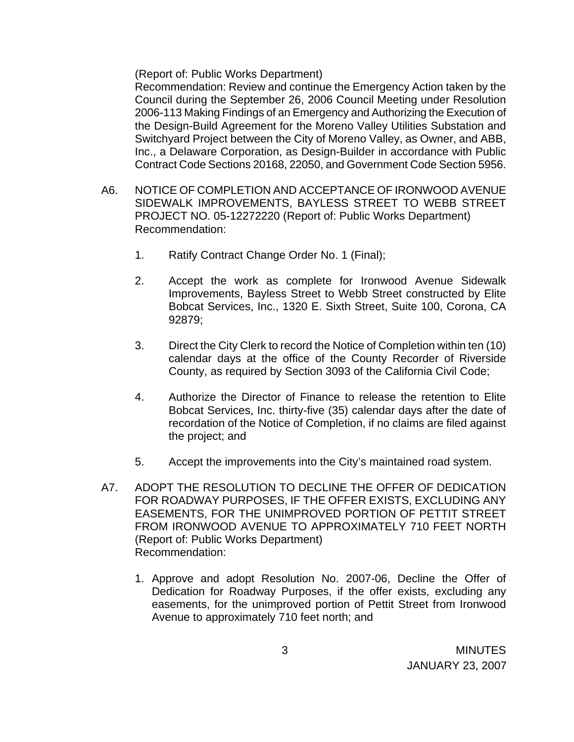(Report of: Public Works Department)

 Recommendation: Review and continue the Emergency Action taken by the Council during the September 26, 2006 Council Meeting under Resolution 2006-113 Making Findings of an Emergency and Authorizing the Execution of the Design-Build Agreement for the Moreno Valley Utilities Substation and Switchyard Project between the City of Moreno Valley, as Owner, and ABB, Inc., a Delaware Corporation, as Design-Builder in accordance with Public Contract Code Sections 20168, 22050, and Government Code Section 5956.

- A6. NOTICE OF COMPLETION AND ACCEPTANCE OF IRONWOOD AVENUE SIDEWALK IMPROVEMENTS, BAYLESS STREET TO WEBB STREET PROJECT NO. 05-12272220 (Report of: Public Works Department) Recommendation:
	- 1. Ratify Contract Change Order No. 1 (Final);
	- 2. Accept the work as complete for Ironwood Avenue Sidewalk Improvements, Bayless Street to Webb Street constructed by Elite Bobcat Services, Inc., 1320 E. Sixth Street, Suite 100, Corona, CA 92879;
	- 3. Direct the City Clerk to record the Notice of Completion within ten (10) calendar days at the office of the County Recorder of Riverside County, as required by Section 3093 of the California Civil Code;
	- 4. Authorize the Director of Finance to release the retention to Elite Bobcat Services, Inc. thirty-five (35) calendar days after the date of recordation of the Notice of Completion, if no claims are filed against the project; and
	- 5. Accept the improvements into the City's maintained road system.
- A7. ADOPT THE RESOLUTION TO DECLINE THE OFFER OF DEDICATION FOR ROADWAY PURPOSES, IF THE OFFER EXISTS, EXCLUDING ANY EASEMENTS, FOR THE UNIMPROVED PORTION OF PETTIT STREET FROM IRONWOOD AVENUE TO APPROXIMATELY 710 FEET NORTH (Report of: Public Works Department) Recommendation:
	- 1. Approve and adopt Resolution No. 2007-06, Decline the Offer of Dedication for Roadway Purposes, if the offer exists, excluding any easements, for the unimproved portion of Pettit Street from Ironwood Avenue to approximately 710 feet north; and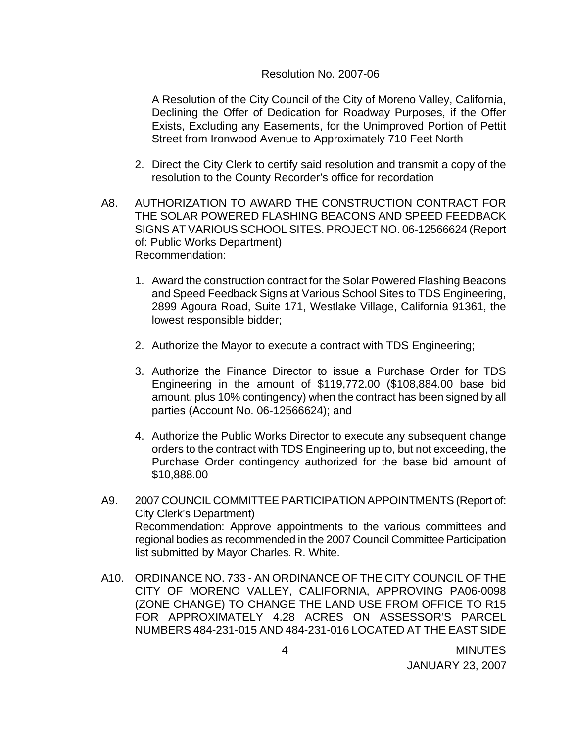#### Resolution No. 2007-06

A Resolution of the City Council of the City of Moreno Valley, California, Declining the Offer of Dedication for Roadway Purposes, if the Offer Exists, Excluding any Easements, for the Unimproved Portion of Pettit Street from Ironwood Avenue to Approximately 710 Feet North

- 2. Direct the City Clerk to certify said resolution and transmit a copy of the resolution to the County Recorder's office for recordation
- A8. AUTHORIZATION TO AWARD THE CONSTRUCTION CONTRACT FOR THE SOLAR POWERED FLASHING BEACONS AND SPEED FEEDBACK SIGNS AT VARIOUS SCHOOL SITES. PROJECT NO. 06-12566624 (Report of: Public Works Department) Recommendation:
	- 1. Award the construction contract for the Solar Powered Flashing Beacons and Speed Feedback Signs at Various School Sites to TDS Engineering, 2899 Agoura Road, Suite 171, Westlake Village, California 91361, the lowest responsible bidder;
	- 2. Authorize the Mayor to execute a contract with TDS Engineering;
	- 3. Authorize the Finance Director to issue a Purchase Order for TDS Engineering in the amount of \$119,772.00 (\$108,884.00 base bid amount, plus 10% contingency) when the contract has been signed by all parties (Account No. 06-12566624); and
	- 4. Authorize the Public Works Director to execute any subsequent change orders to the contract with TDS Engineering up to, but not exceeding, the Purchase Order contingency authorized for the base bid amount of \$10,888.00
- A9. 2007 COUNCIL COMMITTEE PARTICIPATION APPOINTMENTS (Report of: City Clerk's Department) Recommendation: Approve appointments to the various committees and regional bodies as recommended in the 2007 Council Committee Participation list submitted by Mayor Charles. R. White.
- A10. ORDINANCE NO. 733 AN ORDINANCE OF THE CITY COUNCIL OF THE CITY OF MORENO VALLEY, CALIFORNIA, APPROVING PA06-0098 (ZONE CHANGE) TO CHANGE THE LAND USE FROM OFFICE TO R15 FOR APPROXIMATELY 4.28 ACRES ON ASSESSOR'S PARCEL NUMBERS 484-231-015 AND 484-231-016 LOCATED AT THE EAST SIDE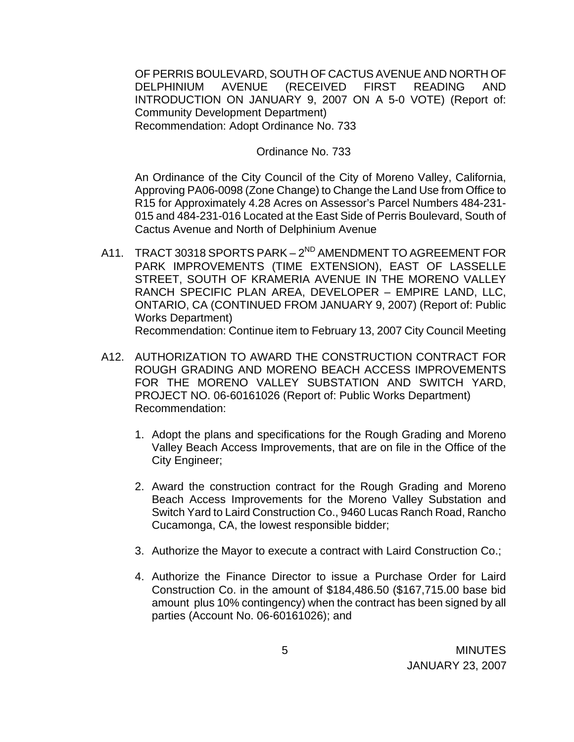OF PERRIS BOULEVARD, SOUTH OF CACTUS AVENUE AND NORTH OF DELPHINIUM AVENUE (RECEIVED FIRST READING AND INTRODUCTION ON JANUARY 9, 2007 ON A 5-0 VOTE) (Report of: Community Development Department) Recommendation: Adopt Ordinance No. 733

#### Ordinance No. 733

 An Ordinance of the City Council of the City of Moreno Valley, California, Approving PA06-0098 (Zone Change) to Change the Land Use from Office to R15 for Approximately 4.28 Acres on Assessor's Parcel Numbers 484-231- 015 and 484-231-016 Located at the East Side of Perris Boulevard, South of Cactus Avenue and North of Delphinium Avenue

- A11. TRACT 30318 SPORTS PARK 2<sup>ND</sup> AMENDMENT TO AGREEMENT FOR PARK IMPROVEMENTS (TIME EXTENSION), EAST OF LASSELLE STREET, SOUTH OF KRAMERIA AVENUE IN THE MORENO VALLEY RANCH SPECIFIC PLAN AREA, DEVELOPER – EMPIRE LAND, LLC, ONTARIO, CA (CONTINUED FROM JANUARY 9, 2007) (Report of: Public Works Department) Recommendation: Continue item to February 13, 2007 City Council Meeting
- A12. AUTHORIZATION TO AWARD THE CONSTRUCTION CONTRACT FOR ROUGH GRADING AND MORENO BEACH ACCESS IMPROVEMENTS FOR THE MORENO VALLEY SUBSTATION AND SWITCH YARD, PROJECT NO. 06-60161026 (Report of: Public Works Department) Recommendation:
	- 1. Adopt the plans and specifications for the Rough Grading and Moreno Valley Beach Access Improvements, that are on file in the Office of the City Engineer;
	- 2. Award the construction contract for the Rough Grading and Moreno Beach Access Improvements for the Moreno Valley Substation and Switch Yard to Laird Construction Co., 9460 Lucas Ranch Road, Rancho Cucamonga, CA, the lowest responsible bidder;
	- 3. Authorize the Mayor to execute a contract with Laird Construction Co.;
	- 4. Authorize the Finance Director to issue a Purchase Order for Laird Construction Co. in the amount of \$184,486.50 (\$167,715.00 base bid amount plus 10% contingency) when the contract has been signed by all parties (Account No. 06-60161026); and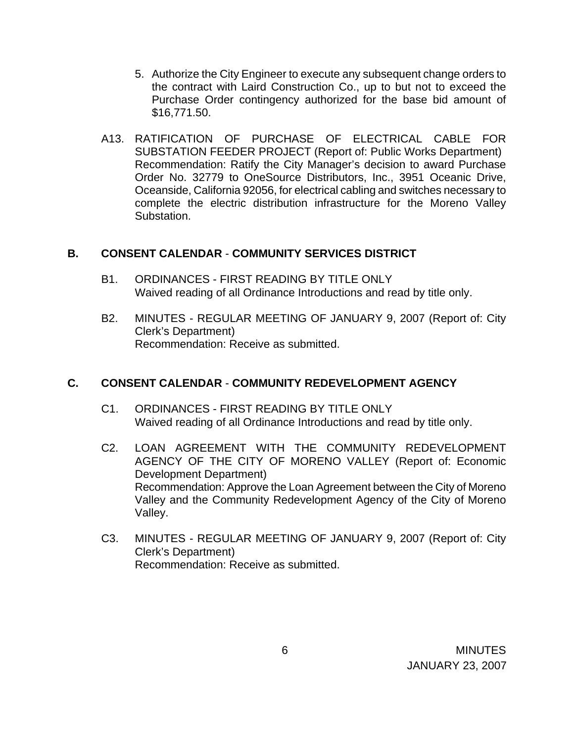- 5. Authorize the City Engineer to execute any subsequent change orders to the contract with Laird Construction Co., up to but not to exceed the Purchase Order contingency authorized for the base bid amount of \$16,771.50.
- A13. RATIFICATION OF PURCHASE OF ELECTRICAL CABLE FOR SUBSTATION FEEDER PROJECT (Report of: Public Works Department) Recommendation: Ratify the City Manager's decision to award Purchase Order No. 32779 to OneSource Distributors, Inc., 3951 Oceanic Drive, Oceanside, California 92056, for electrical cabling and switches necessary to complete the electric distribution infrastructure for the Moreno Valley Substation.

### **B. CONSENT CALENDAR** - **COMMUNITY SERVICES DISTRICT**

- B1. ORDINANCES FIRST READING BY TITLE ONLY Waived reading of all Ordinance Introductions and read by title only.
- B2. MINUTES REGULAR MEETING OF JANUARY 9, 2007 (Report of: City Clerk's Department) Recommendation: Receive as submitted.

### **C. CONSENT CALENDAR** - **COMMUNITY REDEVELOPMENT AGENCY**

- C1. ORDINANCES FIRST READING BY TITLE ONLY Waived reading of all Ordinance Introductions and read by title only.
- C2. LOAN AGREEMENT WITH THE COMMUNITY REDEVELOPMENT AGENCY OF THE CITY OF MORENO VALLEY (Report of: Economic Development Department) Recommendation: Approve the Loan Agreement between the City of Moreno Valley and the Community Redevelopment Agency of the City of Moreno Valley.
- C3. MINUTES REGULAR MEETING OF JANUARY 9, 2007 (Report of: City Clerk's Department) Recommendation: Receive as submitted.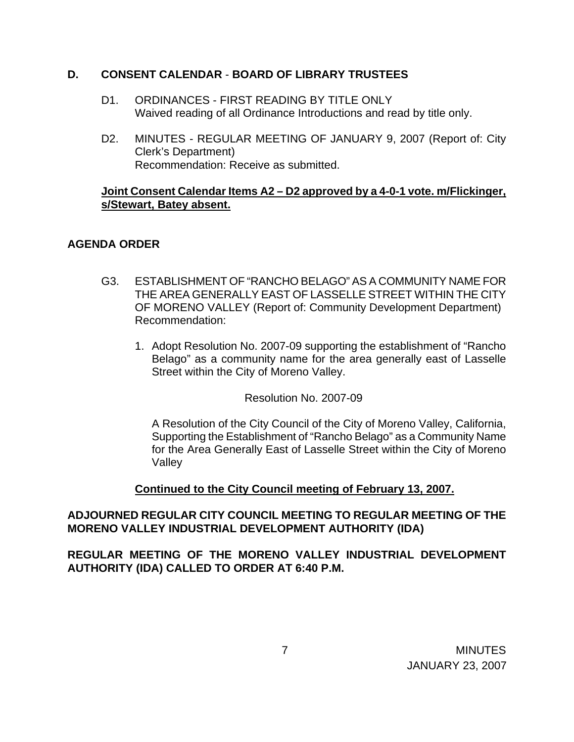### **D. CONSENT CALENDAR** - **BOARD OF LIBRARY TRUSTEES**

- D1. ORDINANCES FIRST READING BY TITLE ONLY Waived reading of all Ordinance Introductions and read by title only.
- D2. MINUTES REGULAR MEETING OF JANUARY 9, 2007 (Report of: City Clerk's Department) Recommendation: Receive as submitted.

## **Joint Consent Calendar Items A2 – D2 approved by a 4-0-1 vote. m/Flickinger, s/Stewart, Batey absent.**

# **AGENDA ORDER**

- G3. ESTABLISHMENT OF "RANCHO BELAGO" AS A COMMUNITY NAME FOR THE AREA GENERALLY EAST OF LASSELLE STREET WITHIN THE CITY OF MORENO VALLEY (Report of: Community Development Department) Recommendation:
	- 1. Adopt Resolution No. 2007-09 supporting the establishment of "Rancho Belago" as a community name for the area generally east of Lasselle Street within the City of Moreno Valley.

Resolution No. 2007-09

A Resolution of the City Council of the City of Moreno Valley, California, Supporting the Establishment of "Rancho Belago" as a Community Name for the Area Generally East of Lasselle Street within the City of Moreno Valley

 **Continued to the City Council meeting of February 13, 2007.**

# **ADJOURNED REGULAR CITY COUNCIL MEETING TO REGULAR MEETING OF THE MORENO VALLEY INDUSTRIAL DEVELOPMENT AUTHORITY (IDA)**

**REGULAR MEETING OF THE MORENO VALLEY INDUSTRIAL DEVELOPMENT AUTHORITY (IDA) CALLED TO ORDER AT 6:40 P.M.**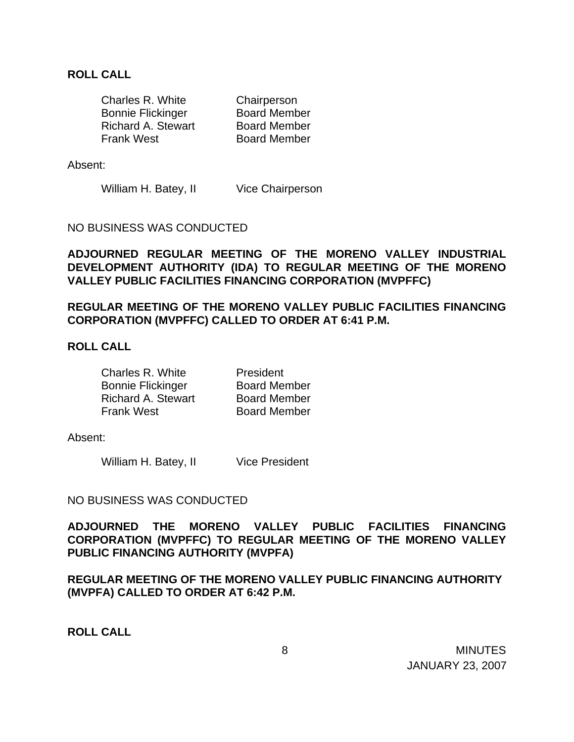#### **ROLL CALL**

| Charles R. White          | Chairperson         |
|---------------------------|---------------------|
| <b>Bonnie Flickinger</b>  | <b>Board Member</b> |
| <b>Richard A. Stewart</b> | <b>Board Member</b> |
| <b>Frank West</b>         | <b>Board Member</b> |

Absent:

William H. Batey, II Vice Chairperson

NO BUSINESS WAS CONDUCTED

**ADJOURNED REGULAR MEETING OF THE MORENO VALLEY INDUSTRIAL DEVELOPMENT AUTHORITY (IDA) TO REGULAR MEETING OF THE MORENO VALLEY PUBLIC FACILITIES FINANCING CORPORATION (MVPFFC)** 

**REGULAR MEETING OF THE MORENO VALLEY PUBLIC FACILITIES FINANCING CORPORATION (MVPFFC) CALLED TO ORDER AT 6:41 P.M.** 

#### **ROLL CALL**

| Charles R. White          | President           |
|---------------------------|---------------------|
| <b>Bonnie Flickinger</b>  | <b>Board Member</b> |
| <b>Richard A. Stewart</b> | <b>Board Member</b> |
| <b>Frank West</b>         | <b>Board Member</b> |

Absent:

William H. Batey, II Vice President

#### NO BUSINESS WAS CONDUCTED

**ADJOURNED THE MORENO VALLEY PUBLIC FACILITIES FINANCING CORPORATION (MVPFFC) TO REGULAR MEETING OF THE MORENO VALLEY PUBLIC FINANCING AUTHORITY (MVPFA)** 

**REGULAR MEETING OF THE MORENO VALLEY PUBLIC FINANCING AUTHORITY (MVPFA) CALLED TO ORDER AT 6:42 P.M.** 

**ROLL CALL**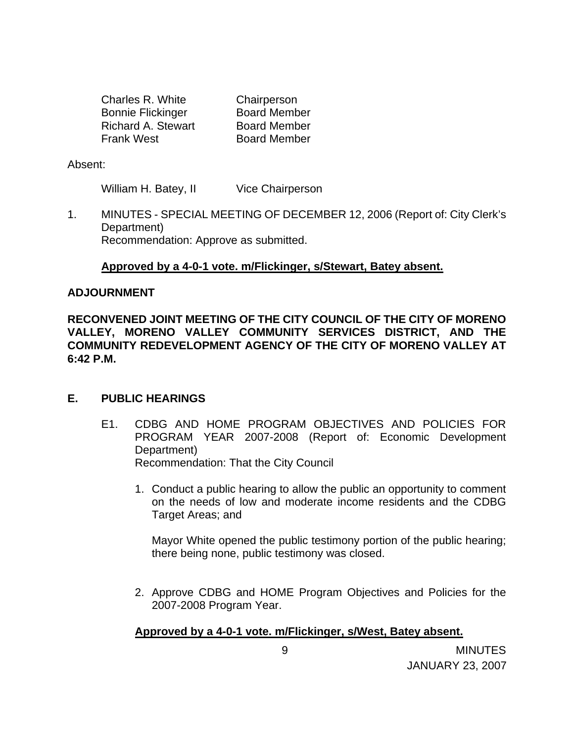| Charles R. White          | Chairperson         |
|---------------------------|---------------------|
| <b>Bonnie Flickinger</b>  | <b>Board Member</b> |
| <b>Richard A. Stewart</b> | <b>Board Member</b> |
| <b>Frank West</b>         | <b>Board Member</b> |

Absent:

William H. Batey, II Vice Chairperson

1. MINUTES - SPECIAL MEETING OF DECEMBER 12, 2006 (Report of: City Clerk's Department) Recommendation: Approve as submitted.

### **Approved by a 4-0-1 vote. m/Flickinger, s/Stewart, Batey absent.**

#### **ADJOURNMENT**

**RECONVENED JOINT MEETING OF THE CITY COUNCIL OF THE CITY OF MORENO VALLEY, MORENO VALLEY COMMUNITY SERVICES DISTRICT, AND THE COMMUNITY REDEVELOPMENT AGENCY OF THE CITY OF MORENO VALLEY AT 6:42 P.M.**

### **E. PUBLIC HEARINGS**

- E1. CDBG AND HOME PROGRAM OBJECTIVES AND POLICIES FOR PROGRAM YEAR 2007-2008 (Report of: Economic Development Department) Recommendation: That the City Council
	- 1. Conduct a public hearing to allow the public an opportunity to comment on the needs of low and moderate income residents and the CDBG Target Areas; and

 Mayor White opened the public testimony portion of the public hearing; there being none, public testimony was closed.

2. Approve CDBG and HOME Program Objectives and Policies for the 2007-2008 Program Year.

### **Approved by a 4-0-1 vote. m/Flickinger, s/West, Batey absent.**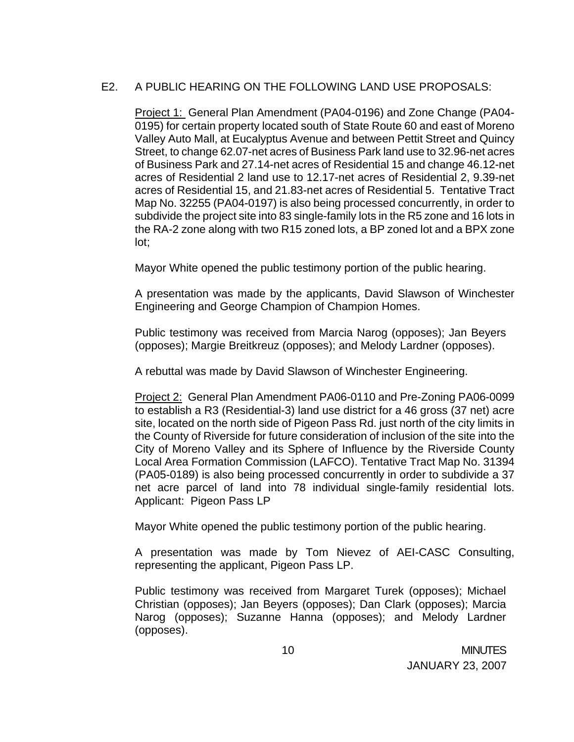# E2. A PUBLIC HEARING ON THE FOLLOWING LAND USE PROPOSALS:

 Project 1: General Plan Amendment (PA04-0196) and Zone Change (PA04- 0195) for certain property located south of State Route 60 and east of Moreno Valley Auto Mall, at Eucalyptus Avenue and between Pettit Street and Quincy Street, to change 62.07-net acres of Business Park land use to 32.96-net acres of Business Park and 27.14-net acres of Residential 15 and change 46.12-net acres of Residential 2 land use to 12.17-net acres of Residential 2, 9.39-net acres of Residential 15, and 21.83-net acres of Residential 5. Tentative Tract Map No. 32255 (PA04-0197) is also being processed concurrently, in order to subdivide the project site into 83 single-family lots in the R5 zone and 16 lots in the RA-2 zone along with two R15 zoned lots, a BP zoned lot and a BPX zone lot;

Mayor White opened the public testimony portion of the public hearing.

 A presentation was made by the applicants, David Slawson of Winchester Engineering and George Champion of Champion Homes.

 Public testimony was received from Marcia Narog (opposes); Jan Beyers (opposes); Margie Breitkreuz (opposes); and Melody Lardner (opposes).

A rebuttal was made by David Slawson of Winchester Engineering.

Project 2: General Plan Amendment PA06-0110 and Pre-Zoning PA06-0099 to establish a R3 (Residential-3) land use district for a 46 gross (37 net) acre site, located on the north side of Pigeon Pass Rd. just north of the city limits in the County of Riverside for future consideration of inclusion of the site into the City of Moreno Valley and its Sphere of Influence by the Riverside County Local Area Formation Commission (LAFCO). Tentative Tract Map No. 31394 (PA05-0189) is also being processed concurrently in order to subdivide a 37 net acre parcel of land into 78 individual single-family residential lots. Applicant: Pigeon Pass LP

Mayor White opened the public testimony portion of the public hearing.

 A presentation was made by Tom Nievez of AEI-CASC Consulting, representing the applicant, Pigeon Pass LP.

 Public testimony was received from Margaret Turek (opposes); Michael Christian (opposes); Jan Beyers (opposes); Dan Clark (opposes); Marcia Narog (opposes); Suzanne Hanna (opposes); and Melody Lardner (opposes).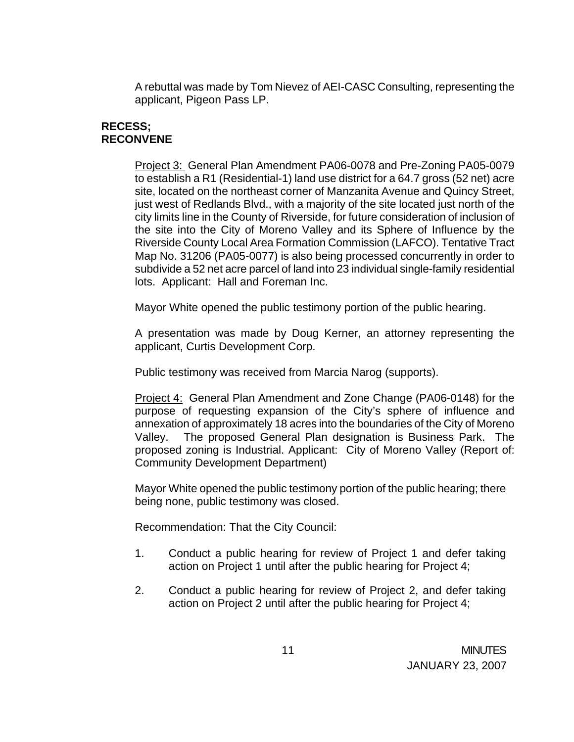A rebuttal was made by Tom Nievez of AEI-CASC Consulting, representing the applicant, Pigeon Pass LP.

# **RECESS; RECONVENE**

Project 3: General Plan Amendment PA06-0078 and Pre-Zoning PA05-0079 to establish a R1 (Residential-1) land use district for a 64.7 gross (52 net) acre site, located on the northeast corner of Manzanita Avenue and Quincy Street, just west of Redlands Blvd., with a majority of the site located just north of the city limits line in the County of Riverside, for future consideration of inclusion of the site into the City of Moreno Valley and its Sphere of Influence by the Riverside County Local Area Formation Commission (LAFCO). Tentative Tract Map No. 31206 (PA05-0077) is also being processed concurrently in order to subdivide a 52 net acre parcel of land into 23 individual single-family residential lots. Applicant: Hall and Foreman Inc.

Mayor White opened the public testimony portion of the public hearing.

 A presentation was made by Doug Kerner, an attorney representing the applicant, Curtis Development Corp.

Public testimony was received from Marcia Narog (supports).

 Project 4: General Plan Amendment and Zone Change (PA06-0148) for the purpose of requesting expansion of the City's sphere of influence and annexation of approximately 18 acres into the boundaries of the City of Moreno Valley. The proposed General Plan designation is Business Park. The proposed zoning is Industrial. Applicant: City of Moreno Valley (Report of: Community Development Department)

Mayor White opened the public testimony portion of the public hearing; there being none, public testimony was closed.

Recommendation: That the City Council:

- 1. Conduct a public hearing for review of Project 1 and defer taking action on Project 1 until after the public hearing for Project 4;
- 2. Conduct a public hearing for review of Project 2, and defer taking action on Project 2 until after the public hearing for Project 4;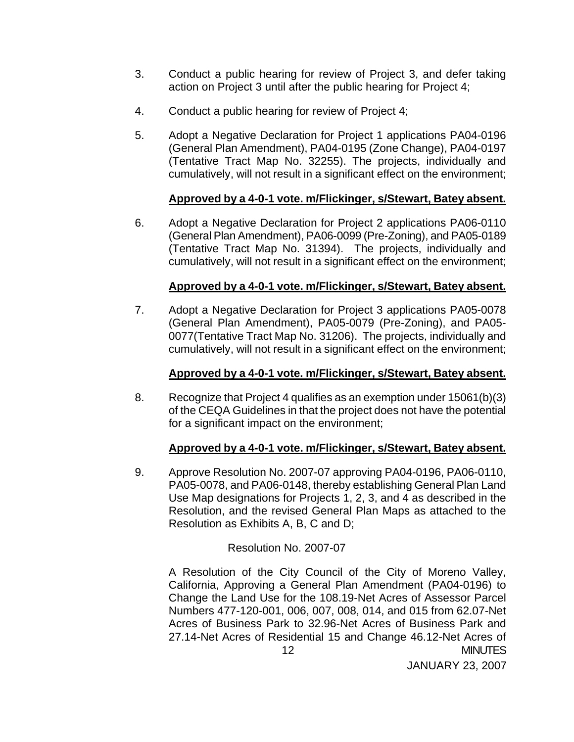- 3. Conduct a public hearing for review of Project 3, and defer taking action on Project 3 until after the public hearing for Project 4;
- 4. Conduct a public hearing for review of Project 4;
- 5. Adopt a Negative Declaration for Project 1 applications PA04-0196 (General Plan Amendment), PA04-0195 (Zone Change), PA04-0197 (Tentative Tract Map No. 32255). The projects, individually and cumulatively, will not result in a significant effect on the environment;

## **Approved by a 4-0-1 vote. m/Flickinger, s/Stewart, Batey absent.**

6. Adopt a Negative Declaration for Project 2 applications PA06-0110 (General Plan Amendment), PA06-0099 (Pre-Zoning), and PA05-0189 (Tentative Tract Map No. 31394). The projects, individually and cumulatively, will not result in a significant effect on the environment;

## **Approved by a 4-0-1 vote. m/Flickinger, s/Stewart, Batey absent.**

7. Adopt a Negative Declaration for Project 3 applications PA05-0078 (General Plan Amendment), PA05-0079 (Pre-Zoning), and PA05- 0077(Tentative Tract Map No. 31206). The projects, individually and cumulatively, will not result in a significant effect on the environment;

### **Approved by a 4-0-1 vote. m/Flickinger, s/Stewart, Batey absent.**

8. Recognize that Project 4 qualifies as an exemption under 15061(b)(3) of the CEQA Guidelines in that the project does not have the potential for a significant impact on the environment;

### **Approved by a 4-0-1 vote. m/Flickinger, s/Stewart, Batey absent.**

9. Approve Resolution No. 2007-07 approving PA04-0196, PA06-0110, PA05-0078, and PA06-0148, thereby establishing General Plan Land Use Map designations for Projects 1, 2, 3, and 4 as described in the Resolution, and the revised General Plan Maps as attached to the Resolution as Exhibits A, B, C and D;

### Resolution No. 2007-07

 12 MINUTES A Resolution of the City Council of the City of Moreno Valley, California, Approving a General Plan Amendment (PA04-0196) to Change the Land Use for the 108.19-Net Acres of Assessor Parcel Numbers 477-120-001, 006, 007, 008, 014, and 015 from 62.07-Net Acres of Business Park to 32.96-Net Acres of Business Park and 27.14-Net Acres of Residential 15 and Change 46.12-Net Acres of

JANUARY 23, 2007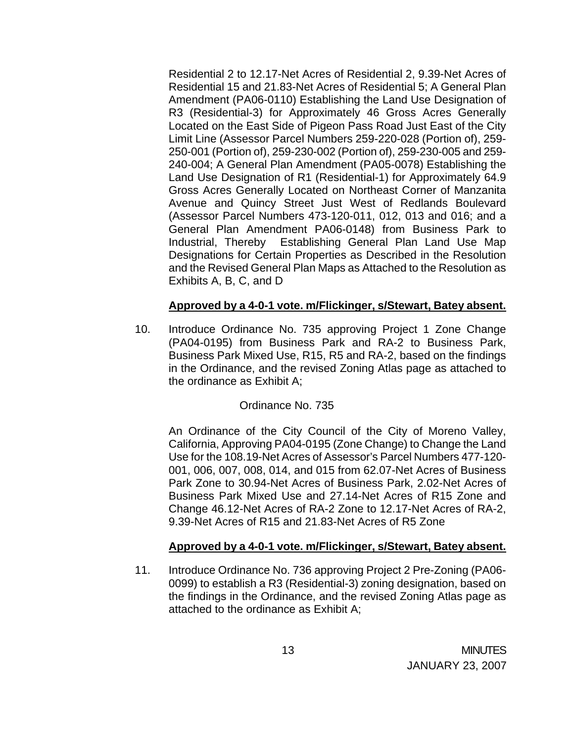Residential 2 to 12.17-Net Acres of Residential 2, 9.39-Net Acres of Residential 15 and 21.83-Net Acres of Residential 5; A General Plan Amendment (PA06-0110) Establishing the Land Use Designation of R3 (Residential-3) for Approximately 46 Gross Acres Generally Located on the East Side of Pigeon Pass Road Just East of the City Limit Line (Assessor Parcel Numbers 259-220-028 (Portion of), 259- 250-001 (Portion of), 259-230-002 (Portion of), 259-230-005 and 259- 240-004; A General Plan Amendment (PA05-0078) Establishing the Land Use Designation of R1 (Residential-1) for Approximately 64.9 Gross Acres Generally Located on Northeast Corner of Manzanita Avenue and Quincy Street Just West of Redlands Boulevard (Assessor Parcel Numbers 473-120-011, 012, 013 and 016; and a General Plan Amendment PA06-0148) from Business Park to Industrial, Thereby Establishing General Plan Land Use Map Designations for Certain Properties as Described in the Resolution and the Revised General Plan Maps as Attached to the Resolution as Exhibits A, B, C, and D

## **Approved by a 4-0-1 vote. m/Flickinger, s/Stewart, Batey absent.**

10. Introduce Ordinance No. 735 approving Project 1 Zone Change (PA04-0195) from Business Park and RA-2 to Business Park, Business Park Mixed Use, R15, R5 and RA-2, based on the findings in the Ordinance, and the revised Zoning Atlas page as attached to the ordinance as Exhibit A;

### Ordinance No. 735

An Ordinance of the City Council of the City of Moreno Valley, California, Approving PA04-0195 (Zone Change) to Change the Land Use for the 108.19-Net Acres of Assessor's Parcel Numbers 477-120- 001, 006, 007, 008, 014, and 015 from 62.07-Net Acres of Business Park Zone to 30.94-Net Acres of Business Park, 2.02-Net Acres of Business Park Mixed Use and 27.14-Net Acres of R15 Zone and Change 46.12-Net Acres of RA-2 Zone to 12.17-Net Acres of RA-2, 9.39-Net Acres of R15 and 21.83-Net Acres of R5 Zone

### **Approved by a 4-0-1 vote. m/Flickinger, s/Stewart, Batey absent.**

11. Introduce Ordinance No. 736 approving Project 2 Pre-Zoning (PA06- 0099) to establish a R3 (Residential-3) zoning designation, based on the findings in the Ordinance, and the revised Zoning Atlas page as attached to the ordinance as Exhibit A;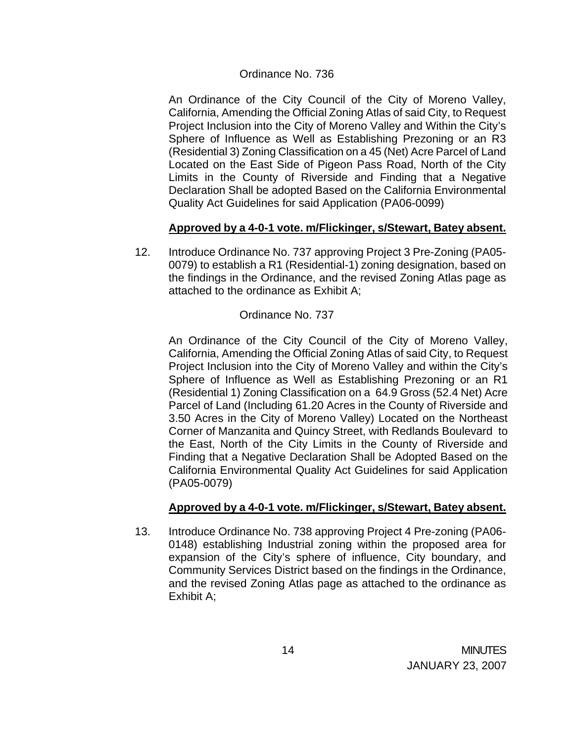#### Ordinance No. 736

An Ordinance of the City Council of the City of Moreno Valley, California, Amending the Official Zoning Atlas of said City, to Request Project Inclusion into the City of Moreno Valley and Within the City's Sphere of Influence as Well as Establishing Prezoning or an R3 (Residential 3) Zoning Classification on a 45 (Net) Acre Parcel of Land Located on the East Side of Pigeon Pass Road, North of the City Limits in the County of Riverside and Finding that a Negative Declaration Shall be adopted Based on the California Environmental Quality Act Guidelines for said Application (PA06-0099)

## **Approved by a 4-0-1 vote. m/Flickinger, s/Stewart, Batey absent.**

12. Introduce Ordinance No. 737 approving Project 3 Pre-Zoning (PA05- 0079) to establish a R1 (Residential-1) zoning designation, based on the findings in the Ordinance, and the revised Zoning Atlas page as attached to the ordinance as Exhibit A;

### Ordinance No. 737

An Ordinance of the City Council of the City of Moreno Valley, California, Amending the Official Zoning Atlas of said City, to Request Project Inclusion into the City of Moreno Valley and within the City's Sphere of Influence as Well as Establishing Prezoning or an R1 (Residential 1) Zoning Classification on a 64.9 Gross (52.4 Net) Acre Parcel of Land (Including 61.20 Acres in the County of Riverside and 3.50 Acres in the City of Moreno Valley) Located on the Northeast Corner of Manzanita and Quincy Street, with Redlands Boulevard to the East, North of the City Limits in the County of Riverside and Finding that a Negative Declaration Shall be Adopted Based on the California Environmental Quality Act Guidelines for said Application (PA05-0079)

### **Approved by a 4-0-1 vote. m/Flickinger, s/Stewart, Batey absent.**

13. Introduce Ordinance No. 738 approving Project 4 Pre-zoning (PA06- 0148) establishing Industrial zoning within the proposed area for expansion of the City's sphere of influence, City boundary, and Community Services District based on the findings in the Ordinance, and the revised Zoning Atlas page as attached to the ordinance as Exhibit A;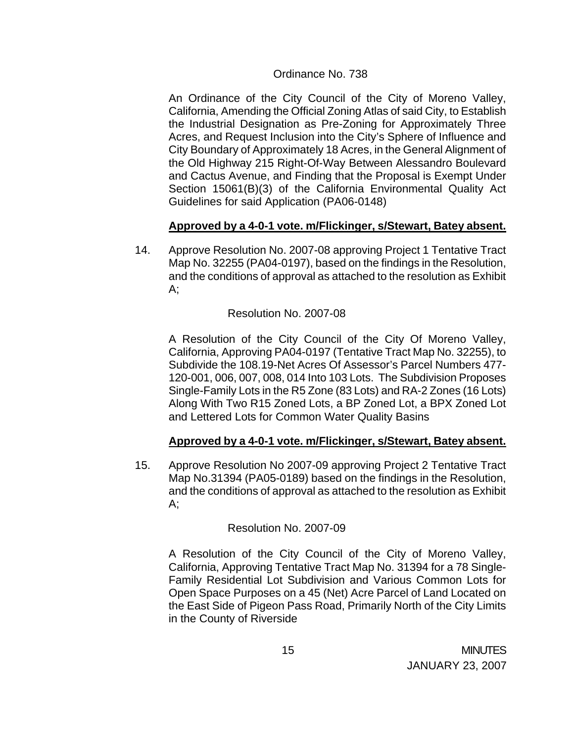### Ordinance No. 738

An Ordinance of the City Council of the City of Moreno Valley, California, Amending the Official Zoning Atlas of said City, to Establish the Industrial Designation as Pre-Zoning for Approximately Three Acres, and Request Inclusion into the City's Sphere of Influence and City Boundary of Approximately 18 Acres, in the General Alignment of the Old Highway 215 Right-Of-Way Between Alessandro Boulevard and Cactus Avenue, and Finding that the Proposal is Exempt Under Section 15061(B)(3) of the California Environmental Quality Act Guidelines for said Application (PA06-0148)

# **Approved by a 4-0-1 vote. m/Flickinger, s/Stewart, Batey absent.**

14. Approve Resolution No. 2007-08 approving Project 1 Tentative Tract Map No. 32255 (PA04-0197), based on the findings in the Resolution, and the conditions of approval as attached to the resolution as Exhibit  $A$ :

## Resolution No. 2007-08

A Resolution of the City Council of the City Of Moreno Valley, California, Approving PA04-0197 (Tentative Tract Map No. 32255), to Subdivide the 108.19-Net Acres Of Assessor's Parcel Numbers 477- 120-001, 006, 007, 008, 014 Into 103 Lots. The Subdivision Proposes Single-Family Lots in the R5 Zone (83 Lots) and RA-2 Zones (16 Lots) Along With Two R15 Zoned Lots, a BP Zoned Lot, a BPX Zoned Lot and Lettered Lots for Common Water Quality Basins

# **Approved by a 4-0-1 vote. m/Flickinger, s/Stewart, Batey absent.**

15. Approve Resolution No 2007-09 approving Project 2 Tentative Tract Map No.31394 (PA05-0189) based on the findings in the Resolution, and the conditions of approval as attached to the resolution as Exhibit A;

### Resolution No. 2007-09

A Resolution of the City Council of the City of Moreno Valley, California, Approving Tentative Tract Map No. 31394 for a 78 Single-Family Residential Lot Subdivision and Various Common Lots for Open Space Purposes on a 45 (Net) Acre Parcel of Land Located on the East Side of Pigeon Pass Road, Primarily North of the City Limits in the County of Riverside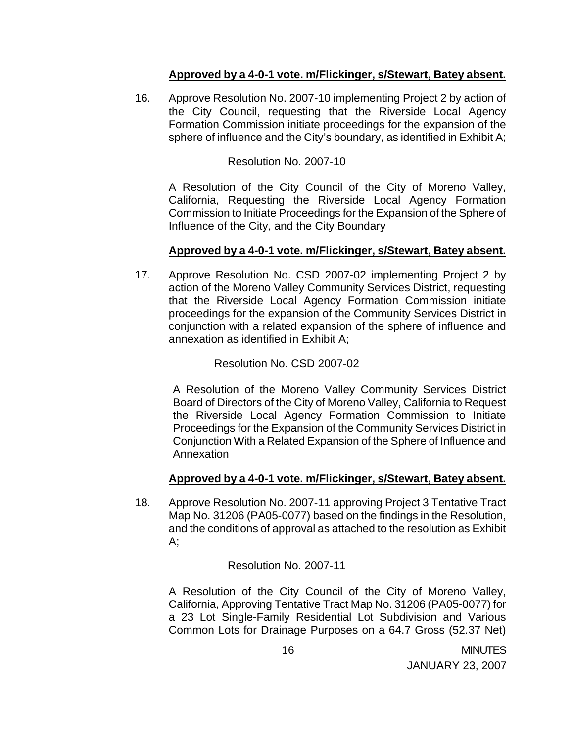## **Approved by a 4-0-1 vote. m/Flickinger, s/Stewart, Batey absent.**

16. Approve Resolution No. 2007-10 implementing Project 2 by action of the City Council, requesting that the Riverside Local Agency Formation Commission initiate proceedings for the expansion of the sphere of influence and the City's boundary, as identified in Exhibit A;

## Resolution No. 2007-10

A Resolution of the City Council of the City of Moreno Valley, California, Requesting the Riverside Local Agency Formation Commission to Initiate Proceedings for the Expansion of the Sphere of Influence of the City, and the City Boundary

## **Approved by a 4-0-1 vote. m/Flickinger, s/Stewart, Batey absent.**

17. Approve Resolution No. CSD 2007-02 implementing Project 2 by action of the Moreno Valley Community Services District, requesting that the Riverside Local Agency Formation Commission initiate proceedings for the expansion of the Community Services District in conjunction with a related expansion of the sphere of influence and annexation as identified in Exhibit A;

Resolution No. CSD 2007-02

A Resolution of the Moreno Valley Community Services District Board of Directors of the City of Moreno Valley, California to Request the Riverside Local Agency Formation Commission to Initiate Proceedings for the Expansion of the Community Services District in Conjunction With a Related Expansion of the Sphere of Influence and Annexation

# **Approved by a 4-0-1 vote. m/Flickinger, s/Stewart, Batey absent.**

18. Approve Resolution No. 2007-11 approving Project 3 Tentative Tract Map No. 31206 (PA05-0077) based on the findings in the Resolution, and the conditions of approval as attached to the resolution as Exhibit A;

Resolution No. 2007-11

A Resolution of the City Council of the City of Moreno Valley, California, Approving Tentative Tract Map No. 31206 (PA05-0077) for a 23 Lot Single-Family Residential Lot Subdivision and Various Common Lots for Drainage Purposes on a 64.7 Gross (52.37 Net)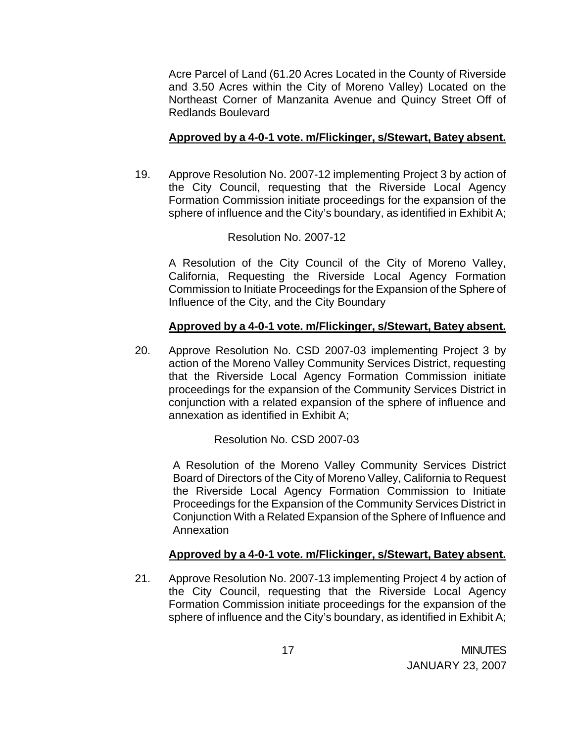Acre Parcel of Land (61.20 Acres Located in the County of Riverside and 3.50 Acres within the City of Moreno Valley) Located on the Northeast Corner of Manzanita Avenue and Quincy Street Off of Redlands Boulevard

## **Approved by a 4-0-1 vote. m/Flickinger, s/Stewart, Batey absent.**

19. Approve Resolution No. 2007-12 implementing Project 3 by action of the City Council, requesting that the Riverside Local Agency Formation Commission initiate proceedings for the expansion of the sphere of influence and the City's boundary, as identified in Exhibit A;

## Resolution No. 2007-12

A Resolution of the City Council of the City of Moreno Valley, California, Requesting the Riverside Local Agency Formation Commission to Initiate Proceedings for the Expansion of the Sphere of Influence of the City, and the City Boundary

## **Approved by a 4-0-1 vote. m/Flickinger, s/Stewart, Batey absent.**

20. Approve Resolution No. CSD 2007-03 implementing Project 3 by action of the Moreno Valley Community Services District, requesting that the Riverside Local Agency Formation Commission initiate proceedings for the expansion of the Community Services District in conjunction with a related expansion of the sphere of influence and annexation as identified in Exhibit A;

# Resolution No. CSD 2007-03

A Resolution of the Moreno Valley Community Services District Board of Directors of the City of Moreno Valley, California to Request the Riverside Local Agency Formation Commission to Initiate Proceedings for the Expansion of the Community Services District in Conjunction With a Related Expansion of the Sphere of Influence and Annexation

### **Approved by a 4-0-1 vote. m/Flickinger, s/Stewart, Batey absent.**

21. Approve Resolution No. 2007-13 implementing Project 4 by action of the City Council, requesting that the Riverside Local Agency Formation Commission initiate proceedings for the expansion of the sphere of influence and the City's boundary, as identified in Exhibit A;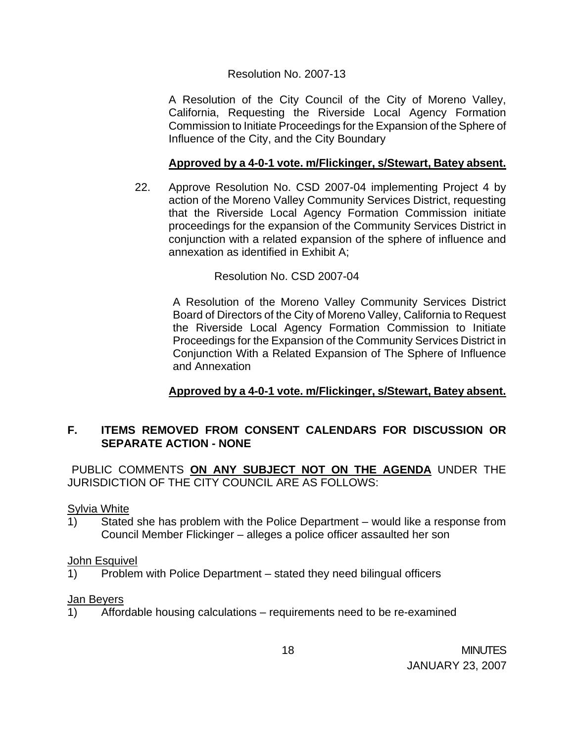### Resolution No. 2007-13

A Resolution of the City Council of the City of Moreno Valley, California, Requesting the Riverside Local Agency Formation Commission to Initiate Proceedings for the Expansion of the Sphere of Influence of the City, and the City Boundary

## **Approved by a 4-0-1 vote. m/Flickinger, s/Stewart, Batey absent.**

22. Approve Resolution No. CSD 2007-04 implementing Project 4 by action of the Moreno Valley Community Services District, requesting that the Riverside Local Agency Formation Commission initiate proceedings for the expansion of the Community Services District in conjunction with a related expansion of the sphere of influence and annexation as identified in Exhibit A;

Resolution No. CSD 2007-04

A Resolution of the Moreno Valley Community Services District Board of Directors of the City of Moreno Valley, California to Request the Riverside Local Agency Formation Commission to Initiate Proceedings for the Expansion of the Community Services District in Conjunction With a Related Expansion of The Sphere of Influence and Annexation

# **Approved by a 4-0-1 vote. m/Flickinger, s/Stewart, Batey absent.**

# **F. ITEMS REMOVED FROM CONSENT CALENDARS FOR DISCUSSION OR SEPARATE ACTION - NONE**

PUBLIC COMMENTS **ON ANY SUBJECT NOT ON THE AGENDA** UNDER THE JURISDICTION OF THE CITY COUNCIL ARE AS FOLLOWS:

Sylvia White

1) Stated she has problem with the Police Department – would like a response from Council Member Flickinger – alleges a police officer assaulted her son

### John Esquivel

1) Problem with Police Department – stated they need bilingual officers

### Jan Beyers

1) Affordable housing calculations – requirements need to be re-examined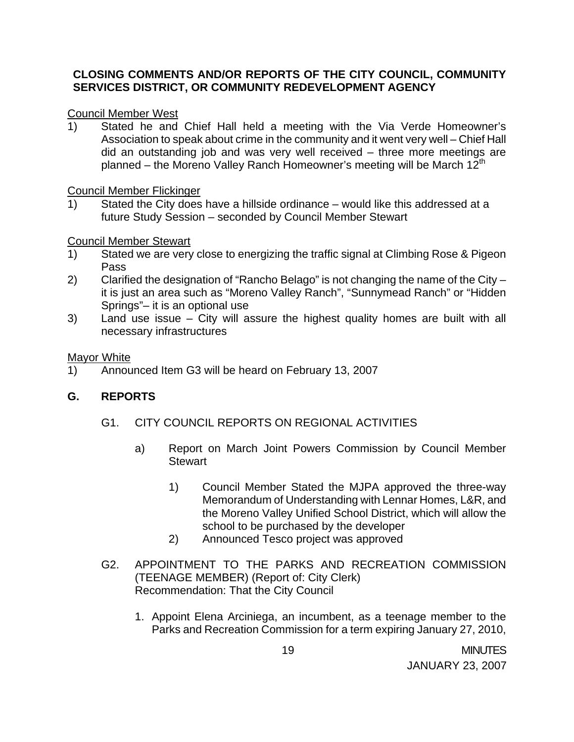## **CLOSING COMMENTS AND/OR REPORTS OF THE CITY COUNCIL, COMMUNITY SERVICES DISTRICT, OR COMMUNITY REDEVELOPMENT AGENCY**

### Council Member West

1) Stated he and Chief Hall held a meeting with the Via Verde Homeowner's Association to speak about crime in the community and it went very well – Chief Hall did an outstanding job and was very well received – three more meetings are planned – the Moreno Valley Ranch Homeowner's meeting will be March  $12<sup>th</sup>$ 

### Council Member Flickinger

1) Stated the City does have a hillside ordinance – would like this addressed at a future Study Session – seconded by Council Member Stewart

## Council Member Stewart

- 1) Stated we are very close to energizing the traffic signal at Climbing Rose & Pigeon Pass
- 2) Clarified the designation of "Rancho Belago" is not changing the name of the City it is just an area such as "Moreno Valley Ranch", "Sunnymead Ranch" or "Hidden Springs"– it is an optional use
- 3) Land use issue City will assure the highest quality homes are built with all necessary infrastructures

### **Mayor White**

1) Announced Item G3 will be heard on February 13, 2007

# **G. REPORTS**

- G1. CITY COUNCIL REPORTS ON REGIONAL ACTIVITIES
	- a) Report on March Joint Powers Commission by Council Member **Stewart** 
		- 1) Council Member Stated the MJPA approved the three-way Memorandum of Understanding with Lennar Homes, L&R, and the Moreno Valley Unified School District, which will allow the school to be purchased by the developer
		- 2) Announced Tesco project was approved
- G2. APPOINTMENT TO THE PARKS AND RECREATION COMMISSION (TEENAGE MEMBER) (Report of: City Clerk) Recommendation: That the City Council
	- 1. Appoint Elena Arciniega, an incumbent, as a teenage member to the Parks and Recreation Commission for a term expiring January 27, 2010,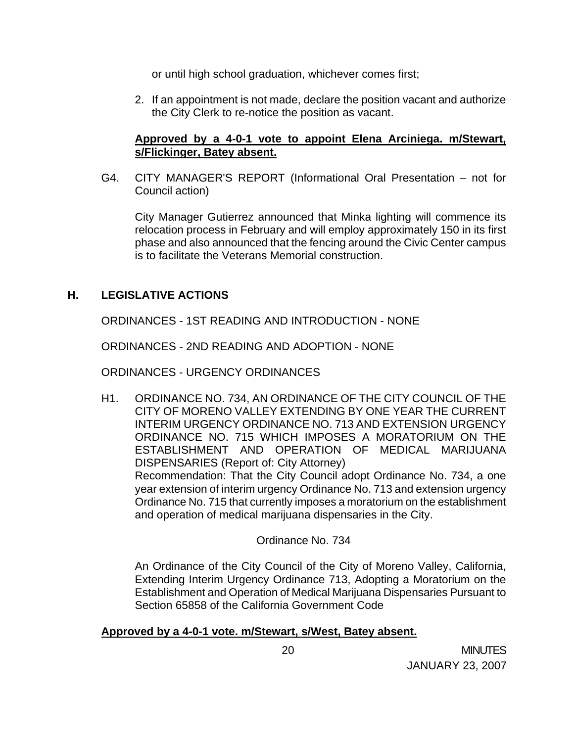or until high school graduation, whichever comes first;

2. If an appointment is not made, declare the position vacant and authorize the City Clerk to re-notice the position as vacant.

## **Approved by a 4-0-1 vote to appoint Elena Arciniega. m/Stewart, s/Flickinger, Batey absent.**

G4. CITY MANAGER'S REPORT (Informational Oral Presentation – not for Council action)

 City Manager Gutierrez announced that Minka lighting will commence its relocation process in February and will employ approximately 150 in its first phase and also announced that the fencing around the Civic Center campus is to facilitate the Veterans Memorial construction.

# **H. LEGISLATIVE ACTIONS**

ORDINANCES - 1ST READING AND INTRODUCTION - NONE

ORDINANCES - 2ND READING AND ADOPTION - NONE

ORDINANCES - URGENCY ORDINANCES

H1. ORDINANCE NO. 734, AN ORDINANCE OF THE CITY COUNCIL OF THE CITY OF MORENO VALLEY EXTENDING BY ONE YEAR THE CURRENT INTERIM URGENCY ORDINANCE NO. 713 AND EXTENSION URGENCY ORDINANCE NO. 715 WHICH IMPOSES A MORATORIUM ON THE ESTABLISHMENT AND OPERATION OF MEDICAL MARIJUANA DISPENSARIES (Report of: City Attorney) Recommendation: That the City Council adopt Ordinance No. 734, a one year extension of interim urgency Ordinance No. 713 and extension urgency Ordinance No. 715 that currently imposes a moratorium on the establishment and operation of medical marijuana dispensaries in the City.

Ordinance No. 734

 An Ordinance of the City Council of the City of Moreno Valley, California, Extending Interim Urgency Ordinance 713, Adopting a Moratorium on the Establishment and Operation of Medical Marijuana Dispensaries Pursuant to Section 65858 of the California Government Code

### **Approved by a 4-0-1 vote. m/Stewart, s/West, Batey absent.**